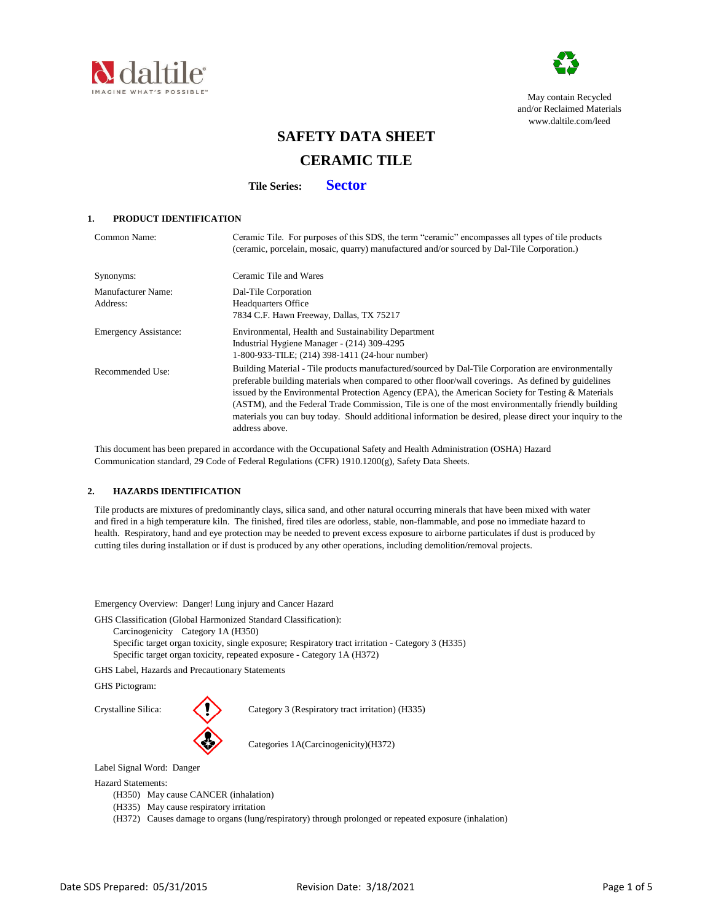



May contain Recycled and/or Reclaimed Materials [www.dalt](http://www.daltile.com/leed)ile.com/leed

# **SAFETY DATA SHEET**

# **CERAMIC TILE**

**Tile Series: Sector**

# **1. PRODUCT IDENTIFICATION**

| Common Name:                   | Ceramic Tile. For purposes of this SDS, the term "ceramic" encompasses all types of tile products<br>(ceramic, porcelain, mosaic, quarry) manufactured and/or sourced by Dal-Tile Corporation.)                                                                                                                                                                                                                                                                                                                                                     |
|--------------------------------|-----------------------------------------------------------------------------------------------------------------------------------------------------------------------------------------------------------------------------------------------------------------------------------------------------------------------------------------------------------------------------------------------------------------------------------------------------------------------------------------------------------------------------------------------------|
| Synonyms:                      | Ceramic Tile and Wares                                                                                                                                                                                                                                                                                                                                                                                                                                                                                                                              |
| Manufacturer Name:<br>Address: | Dal-Tile Corporation<br><b>Headquarters Office</b><br>7834 C.F. Hawn Freeway, Dallas, TX 75217                                                                                                                                                                                                                                                                                                                                                                                                                                                      |
| <b>Emergency Assistance:</b>   | Environmental, Health and Sustainability Department<br>Industrial Hygiene Manager - (214) 309-4295<br>1-800-933-TILE; (214) 398-1411 (24-hour number)                                                                                                                                                                                                                                                                                                                                                                                               |
| Recommended Use:               | Building Material - Tile products manufactured/sourced by Dal-Tile Corporation are environmentally<br>preferable building materials when compared to other floor/wall coverings. As defined by guidelines<br>issued by the Environmental Protection Agency (EPA), the American Society for Testing & Materials<br>(ASTM), and the Federal Trade Commission, Tile is one of the most environmentally friendly building<br>materials you can buy today. Should additional information be desired, please direct your inquiry to the<br>address above. |

 This document has been prepared in accordance with the Occupational Safety and Health Administration (OSHA) Hazard Communication standard, 29 Code of Federal Regulations (CFR) 1910.1200(g), Safety Data Sheets.

# **2. HAZARDS IDENTIFICATION**

 Tile products are mixtures of predominantly clays, silica sand, and other natural occurring minerals that have been mixed with water and fired in a high temperature kiln. The finished, fired tiles are odorless, stable, non-flammable, and pose no immediate hazard to health. Respiratory, hand and eye protection may be needed to prevent excess exposure to airborne particulates if dust is produced by cutting tiles during installation or if dust is produced by any other operations, including demolition/removal projects.

Emergency Overview: Danger! Lung injury and Cancer Hazard

GHS Classification (Global Harmonized Standard Classification):

Carcinogenicity Category 1A (H350)

Specific target organ toxicity, single exposure; Respiratory tract irritation - Category 3 (H335) Specific target organ toxicity, repeated exposure - Category 1A (H372)

GHS Label, Hazards and Precautionary Statements

GHS Pictogram:



Crystalline Silica: Category 3 (Respiratory tract irritation) (H335)

Categories 1A(Carcinogenicity)(H372)

Label Signal Word: Danger

Hazard Statements:

- (H350) May cause CANCER (inhalation)
- (H335) May cause respiratory irritation

(H372) Causes damage to organs (lung/respiratory) through prolonged or repeated exposure (inhalation)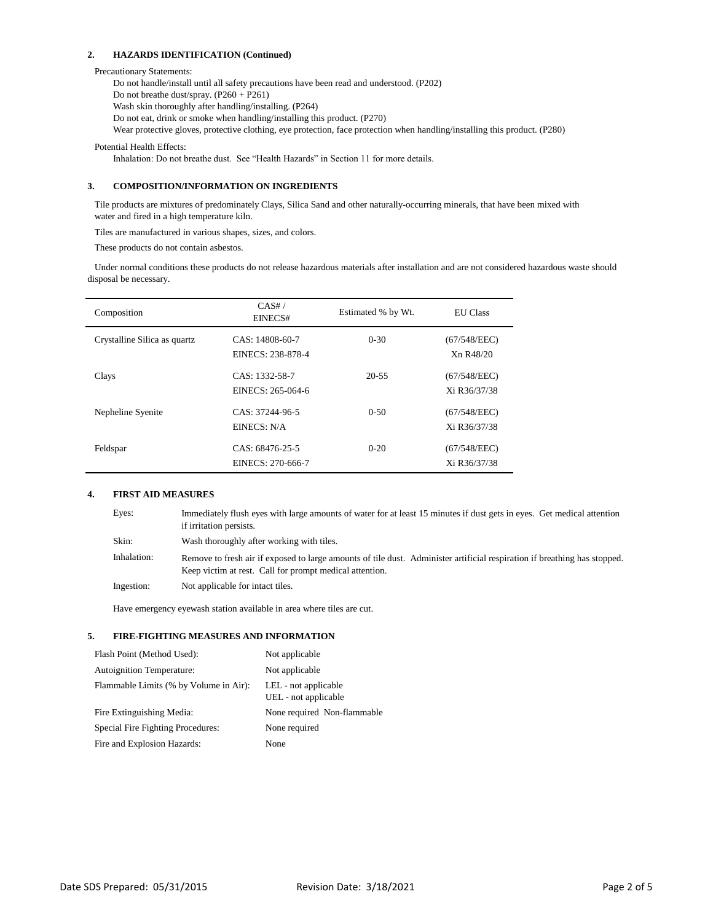## **2. HAZARDS IDENTIFICATION (Continued)**

## Precautionary Statements:

Do not handle/install until all safety precautions have been read and understood. (P202) Do not breathe dust/spray. (P260 + P261) Wash skin thoroughly after handling/installing. (P264) Do not eat, drink or smoke when handling/installing this product. (P270) Wear protective gloves, protective clothing, eye protection, face protection when handling/installing this product. (P280)

Potential Health Effects:

Inhalation: Do not breathe dust. See "Health Hazards" in Section 11 for more details.

# **3. COMPOSITION/INFORMATION ON INGREDIENTS**

 Tile products are mixtures of predominately Clays, Silica Sand and other naturally-occurring minerals, that have been mixed with water and fired in a high temperature kiln.

Tiles are manufactured in various shapes, sizes, and colors.

These products do not contain asbestos.

 Under normal conditions these products do not release hazardous materials after installation and are not considered hazardous waste should disposal be necessary.

| Composition                   | CAS#/<br>EINECS#                     | Estimated % by Wt. | <b>EU</b> Class              |
|-------------------------------|--------------------------------------|--------------------|------------------------------|
| Crystalline Silica as quartz. | CAS: 14808-60-7<br>EINECS: 238-878-4 | $0 - 30$           | (67/548/EEC)<br>Xn R48/20    |
| Clays                         | CAS: 1332-58-7<br>EINECS: 265-064-6  | $20 - 55$          | (67/548/EEC)<br>Xi R36/37/38 |
| Nepheline Syenite             | CAS: 37244-96-5<br>EINECS: N/A       | $0-50$             | (67/548/EEC)<br>Xi R36/37/38 |
| Feldspar                      | CAS: 68476-25-5<br>EINECS: 270-666-7 | $0 - 20$           | (67/548/EEC)<br>Xi R36/37/38 |

## **4. FIRST AID MEASURES**

| Eyes:       | Immediately flush eyes with large amounts of water for at least 15 minutes if dust gets in eyes. Get medical attention<br>if irritation persists.                                    |
|-------------|--------------------------------------------------------------------------------------------------------------------------------------------------------------------------------------|
| Skin:       | Wash thoroughly after working with tiles.                                                                                                                                            |
| Inhalation: | Remove to fresh air if exposed to large amounts of tile dust. Administer artificial respiration if breathing has stopped.<br>Keep victim at rest. Call for prompt medical attention. |
| Ingestion:  | Not applicable for intact tiles.                                                                                                                                                     |

Have emergency eyewash station available in area where tiles are cut.

## **5. FIRE-FIGHTING MEASURES AND INFORMATION**

| Flash Point (Method Used):             | Not applicable                               |
|----------------------------------------|----------------------------------------------|
| <b>Autoignition Temperature:</b>       | Not applicable                               |
| Flammable Limits (% by Volume in Air): | LEL - not applicable<br>UEL - not applicable |
| Fire Extinguishing Media:              | None required Non-flammable                  |
| Special Fire Fighting Procedures:      | None required                                |
| Fire and Explosion Hazards:            | None                                         |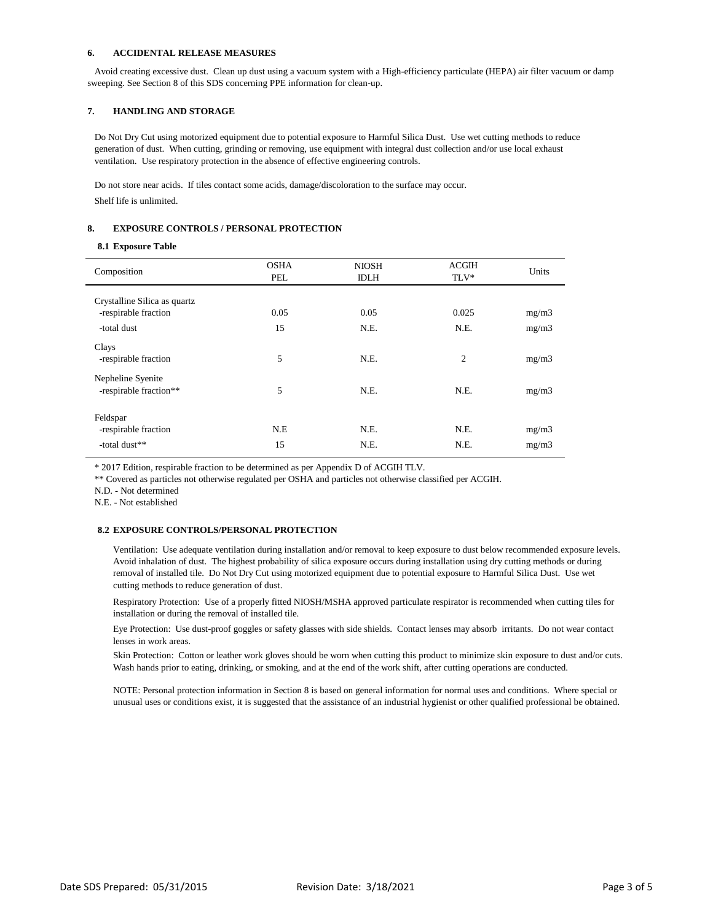### **6. ACCIDENTAL RELEASE MEASURES**

 Avoid creating excessive dust. Clean up dust using a vacuum system with a High-efficiency particulate (HEPA) air filter vacuum or damp sweeping. See Section 8 of this SDS concerning PPE information for clean-up.

## **7. HANDLING AND STORAGE**

 Do Not Dry Cut using motorized equipment due to potential exposure to Harmful Silica Dust. Use wet cutting methods to reduce generation of dust. When cutting, grinding or removing, use equipment with integral dust collection and/or use local exhaust ventilation. Use respiratory protection in the absence of effective engineering controls.

 Do not store near acids. If tiles contact some acids, damage/discoloration to the surface may occur. Shelf life is unlimited.

## **8. EXPOSURE CONTROLS / PERSONAL PROTECTION**

#### **8.1 Exposure Table**

| Composition                                       | <b>OSHA</b><br>PEL | <b>NIOSH</b><br><b>IDLH</b> | <b>ACGIH</b><br>TLV* | Units          |
|---------------------------------------------------|--------------------|-----------------------------|----------------------|----------------|
| Crystalline Silica as quartz                      |                    |                             |                      |                |
| -respirable fraction                              | 0.05               | 0.05                        | 0.025                | mg/m3          |
| -total dust                                       | 15                 | N.E.                        | N.E.                 | mg/m3          |
| Clays<br>-respirable fraction                     | 5                  | N.E.                        | $\overline{c}$       | mg/m3          |
| Nepheline Syenite<br>-respirable fraction**       | 5                  | N.E.                        | N.E.                 | mg/m3          |
| Feldspar<br>-respirable fraction<br>-total dust** | N.E<br>15          | N.E.<br>N.E.                | N.E.<br>N.E.         | mg/m3<br>mg/m3 |
|                                                   |                    |                             |                      |                |

\* 2017 Edition, respirable fraction to be determined as per Appendix D of ACGIH TLV.

\*\* Covered as particles not otherwise regulated per OSHA and particles not otherwise classified per ACGIH.

N.D. - Not determined

N.E. - Not established

## **8.2 EXPOSURE CONTROLS/PERSONAL PROTECTION**

Ventilation: Use adequate ventilation during installation and/or removal to keep exposure to dust below recommended exposure levels. Avoid inhalation of dust. The highest probability of silica exposure occurs during installation using dry cutting methods or during removal of installed tile. Do Not Dry Cut using motorized equipment due to potential exposure to Harmful Silica Dust. Use wet cutting methods to reduce generation of dust.

Respiratory Protection: Use of a properly fitted NIOSH/MSHA approved particulate respirator is recommended when cutting tiles for installation or during the removal of installed tile.

Eye Protection: Use dust-proof goggles or safety glasses with side shields. Contact lenses may absorb irritants. Do not wear contact lenses in work areas.

Skin Protection: Cotton or leather work gloves should be worn when cutting this product to minimize skin exposure to dust and/or cuts. Wash hands prior to eating, drinking, or smoking, and at the end of the work shift, after cutting operations are conducted.

NOTE: Personal protection information in Section 8 is based on general information for normal uses and conditions. Where special or unusual uses or conditions exist, it is suggested that the assistance of an industrial hygienist or other qualified professional be obtained.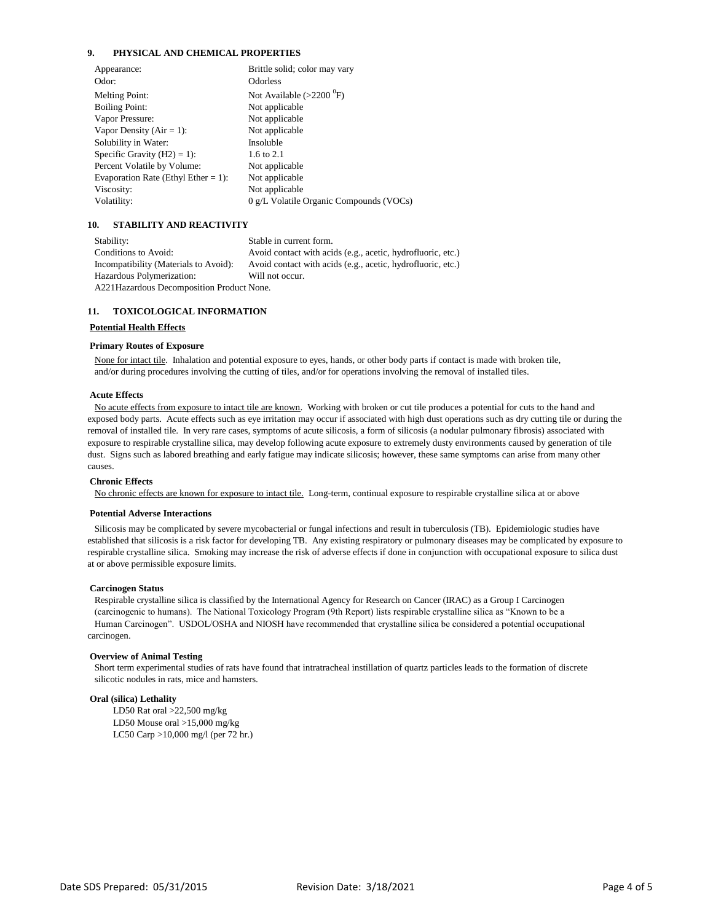## **9. PHYSICAL AND CHEMICAL PROPERTIES**

| Appearance:                         | Brittle solid; color may vary           |
|-------------------------------------|-----------------------------------------|
| Odor:                               | <b>Odorless</b>                         |
| <b>Melting Point:</b>               | Not Available $(>2200$ <sup>0</sup> F)  |
| <b>Boiling Point:</b>               | Not applicable                          |
| Vapor Pressure:                     | Not applicable                          |
| Vapor Density ( $Air = 1$ ):        | Not applicable                          |
| Solubility in Water:                | Insoluble                               |
| Specific Gravity $(H2) = 1$ :       | 1.6 to 2.1                              |
| Percent Volatile by Volume:         | Not applicable                          |
| Evaporation Rate (Ethyl Ether = 1): | Not applicable                          |
| Viscosity:                          | Not applicable                          |
| Volatility:                         | 0 g/L Volatile Organic Compounds (VOCs) |
|                                     |                                         |

## **10. STABILITY AND REACTIVITY**

 Stability: Stable in current form. Conditions to Avoid: Avoid contact with acids (e.g., acetic, hydrofluoric, etc.) Incompatibility (Materials to Avoid): Avoid contact with acids (e.g., acetic, hydrofluoric, etc.) Hazardous Polymerization: Will not occur. A221Hazardous Decomposition Product None.

#### **11. TOXICOLOGICAL INFORMATION**

#### **Potential Health Effects**

#### **Primary Routes of Exposure**

 None for intact tile. Inhalation and potential exposure to eyes, hands, or other body parts if contact is made with broken tile, and/or during procedures involving the cutting of tiles, and/or for operations involving the removal of installed tiles.

## **Acute Effects**

 No acute effects from exposure to intact tile are known. Working with broken or cut tile produces a potential for cuts to the hand and exposed body parts. Acute effects such as eye irritation may occur if associated with high dust operations such as dry cutting tile or during the removal of installed tile. In very rare cases, symptoms of acute silicosis, a form of silicosis (a nodular pulmonary fibrosis) associated with exposure to respirable crystalline silica, may develop following acute exposure to extremely dusty environments caused by generation of tile dust. Signs such as labored breathing and early fatigue may indicate silicosis; however, these same symptoms can arise from many other causes.

#### **Chronic Effects**

No chronic effects are known for exposure to intact tile. Long-term, continual exposure to respirable crystalline silica at or above

#### **Potential Adverse Interactions**

 Silicosis may be complicated by severe mycobacterial or fungal infections and result in tuberculosis (TB). Epidemiologic studies have established that silicosis is a risk factor for developing TB. Any existing respiratory or pulmonary diseases may be complicated by exposure to respirable crystalline silica. Smoking may increase the risk of adverse effects if done in conjunction with occupational exposure to silica dust at or above permissible exposure limits.

#### **Carcinogen Status**

 Respirable crystalline silica is classified by the International Agency for Research on Cancer (IRAC) as a Group I Carcinogen (carcinogenic to humans). The National Toxicology Program (9th Report) lists respirable crystalline silica as "Known to be a Human Carcinogen". USDOL/OSHA and NIOSH have recommended that crystalline silica be considered a potential occupational carcinogen.

#### **Overview of Animal Testing**

 Short term experimental studies of rats have found that intratracheal instillation of quartz particles leads to the formation of discrete silicotic nodules in rats, mice and hamsters.

#### **Oral (silica) Lethality**

LD50 Rat oral >22,500 mg/kg LD50 Mouse oral >15,000 mg/kg LC50 Carp >10,000 mg/l (per 72 hr.)